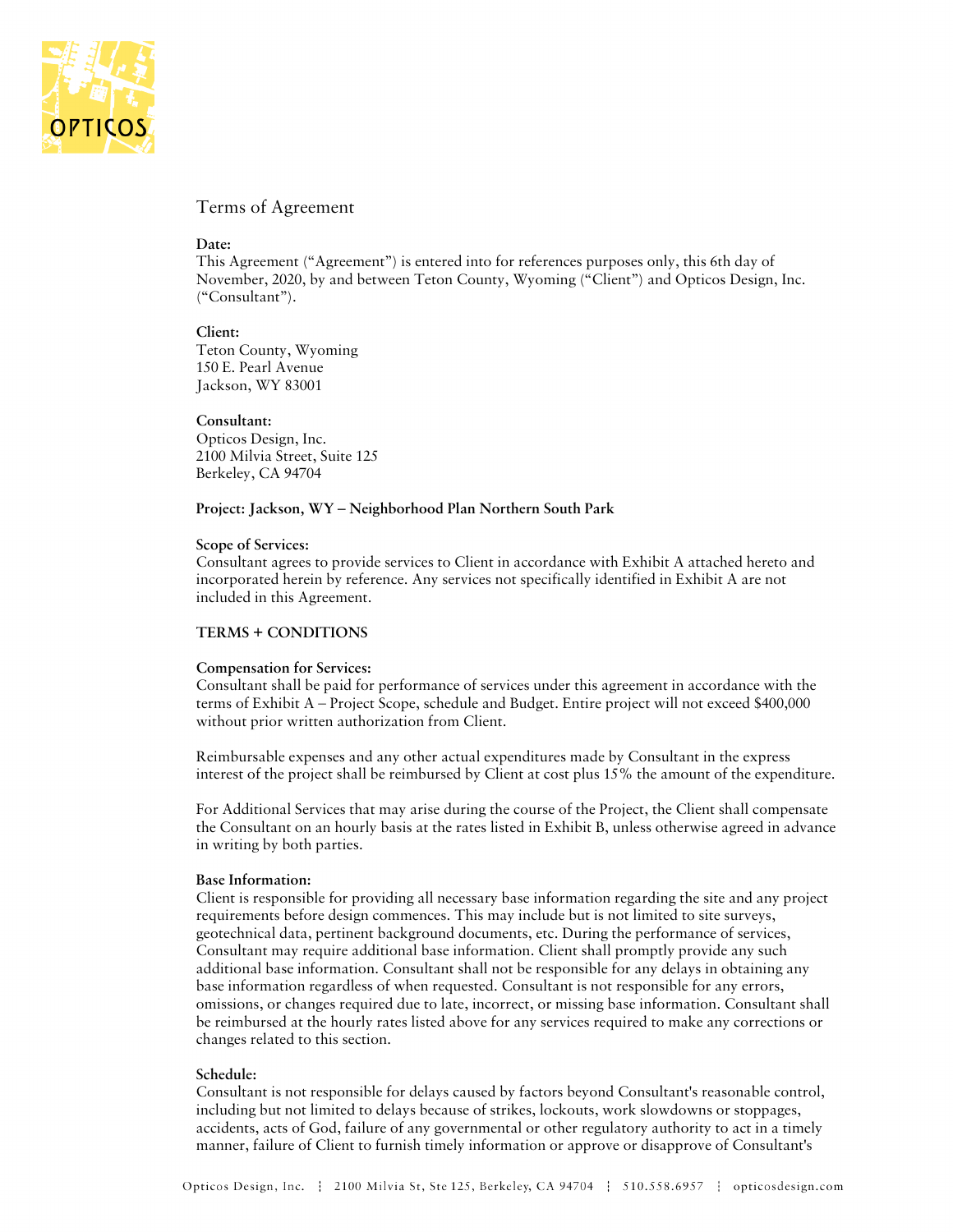

## Terms of Agreement

### **Date:**

This Agreement ("Agreement") is entered into for references purposes only, this 6th day of November, 2020, by and between Teton County, Wyoming ("Client") and Opticos Design, Inc. ("Consultant").

#### **Client:**

Teton County, Wyoming 150 E. Pearl Avenue Jackson, WY 83001

#### **Consultant:**

Opticos Design, Inc. 2100 Milvia Street, Suite 125 Berkeley, CA 94704

#### **Project: Jackson, WY – Neighborhood Plan Northern South Park**

#### **Scope of Services:**

Consultant agrees to provide services to Client in accordance with Exhibit A attached hereto and incorporated herein by reference. Any services not specifically identified in Exhibit A are not included in this Agreement.

## **TERMS + CONDITIONS**

#### **Compensation for Services:**

Consultant shall be paid for performance of services under this agreement in accordance with the terms of Exhibit A – Project Scope, schedule and Budget. Entire project will not exceed \$400,000 without prior written authorization from Client.

Reimbursable expenses and any other actual expenditures made by Consultant in the express interest of the project shall be reimbursed by Client at cost plus 15% the amount of the expenditure.

For Additional Services that may arise during the course of the Project, the Client shall compensate the Consultant on an hourly basis at the rates listed in Exhibit B, unless otherwise agreed in advance in writing by both parties.

### **Base Information:**

Client is responsible for providing all necessary base information regarding the site and any project requirements before design commences. This may include but is not limited to site surveys, geotechnical data, pertinent background documents, etc. During the performance of services, Consultant may require additional base information. Client shall promptly provide any such additional base information. Consultant shall not be responsible for any delays in obtaining any base information regardless of when requested. Consultant is not responsible for any errors, omissions, or changes required due to late, incorrect, or missing base information. Consultant shall be reimbursed at the hourly rates listed above for any services required to make any corrections or changes related to this section.

#### **Schedule:**

Consultant is not responsible for delays caused by factors beyond Consultant's reasonable control, including but not limited to delays because of strikes, lockouts, work slowdowns or stoppages, accidents, acts of God, failure of any governmental or other regulatory authority to act in a timely manner, failure of Client to furnish timely information or approve or disapprove of Consultant's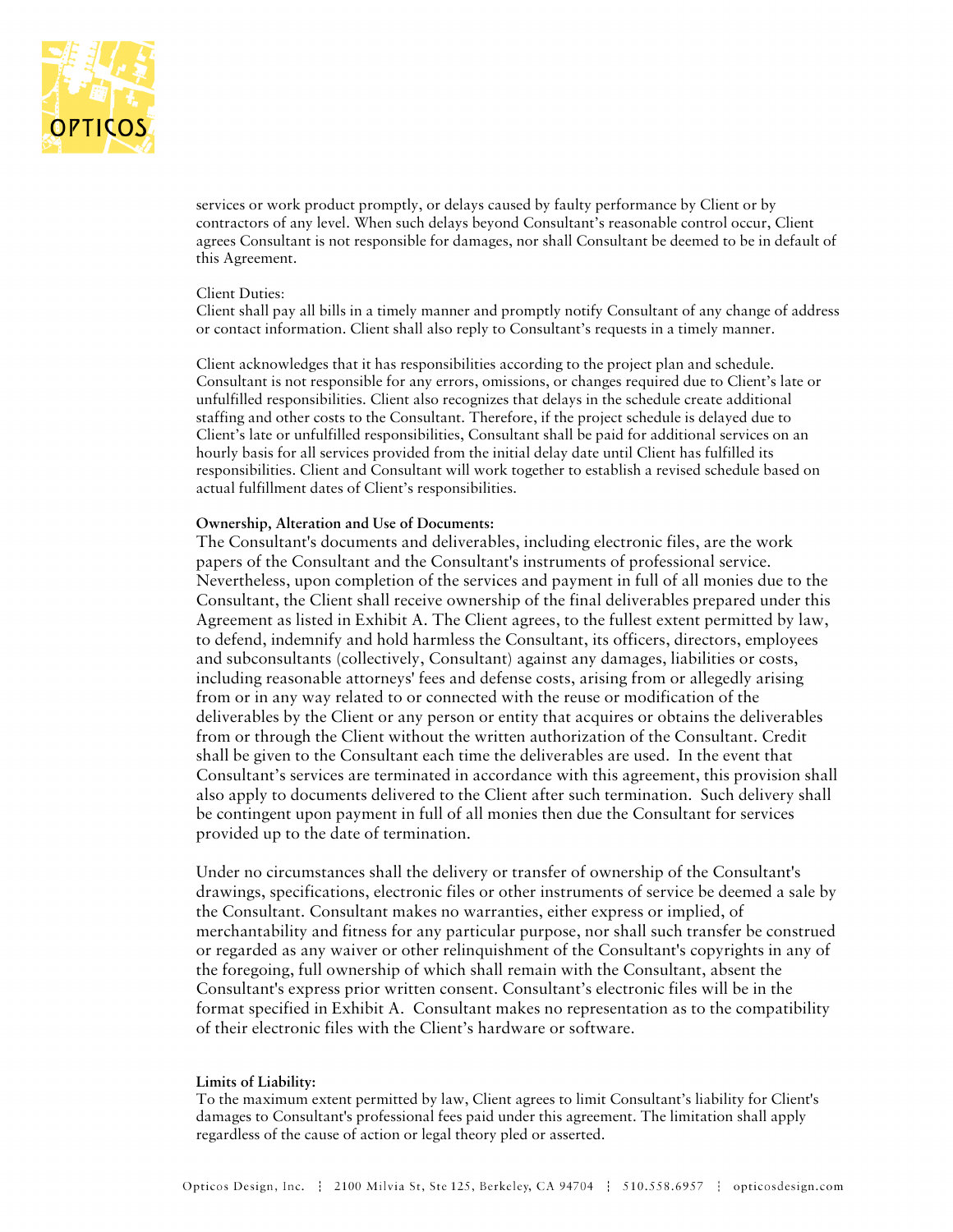

services or work product promptly, or delays caused by faulty performance by Client or by contractors of any level. When such delays beyond Consultant's reasonable control occur, Client agrees Consultant is not responsible for damages, nor shall Consultant be deemed to be in default of this Agreement.

#### Client Duties:

Client shall pay all bills in a timely manner and promptly notify Consultant of any change of address or contact information. Client shall also reply to Consultant's requests in a timely manner.

Client acknowledges that it has responsibilities according to the project plan and schedule. Consultant is not responsible for any errors, omissions, or changes required due to Client's late or unfulfilled responsibilities. Client also recognizes that delays in the schedule create additional staffing and other costs to the Consultant. Therefore, if the project schedule is delayed due to Client's late or unfulfilled responsibilities, Consultant shall be paid for additional services on an hourly basis for all services provided from the initial delay date until Client has fulfilled its responsibilities. Client and Consultant will work together to establish a revised schedule based on actual fulfillment dates of Client's responsibilities.

### **Ownership, Alteration and Use of Documents:**

The Consultant's documents and deliverables, including electronic files, are the work papers of the Consultant and the Consultant's instruments of professional service. Nevertheless, upon completion of the services and payment in full of all monies due to the Consultant, the Client shall receive ownership of the final deliverables prepared under this Agreement as listed in Exhibit A. The Client agrees, to the fullest extent permitted by law, to defend, indemnify and hold harmless the Consultant, its officers, directors, employees and subconsultants (collectively, Consultant) against any damages, liabilities or costs, including reasonable attorneys' fees and defense costs, arising from or allegedly arising from or in any way related to or connected with the reuse or modification of the deliverables by the Client or any person or entity that acquires or obtains the deliverables from or through the Client without the written authorization of the Consultant. Credit shall be given to the Consultant each time the deliverables are used. In the event that Consultant's services are terminated in accordance with this agreement, this provision shall also apply to documents delivered to the Client after such termination. Such delivery shall be contingent upon payment in full of all monies then due the Consultant for services provided up to the date of termination.

Under no circumstances shall the delivery or transfer of ownership of the Consultant's drawings, specifications, electronic files or other instruments of service be deemed a sale by the Consultant. Consultant makes no warranties, either express or implied, of merchantability and fitness for any particular purpose, nor shall such transfer be construed or regarded as any waiver or other relinquishment of the Consultant's copyrights in any of the foregoing, full ownership of which shall remain with the Consultant, absent the Consultant's express prior written consent. Consultant's electronic files will be in the format specified in Exhibit A. Consultant makes no representation as to the compatibility of their electronic files with the Client's hardware or software.

#### **Limits of Liability:**

To the maximum extent permitted by law, Client agrees to limit Consultant's liability for Client's damages to Consultant's professional fees paid under this agreement. The limitation shall apply regardless of the cause of action or legal theory pled or asserted.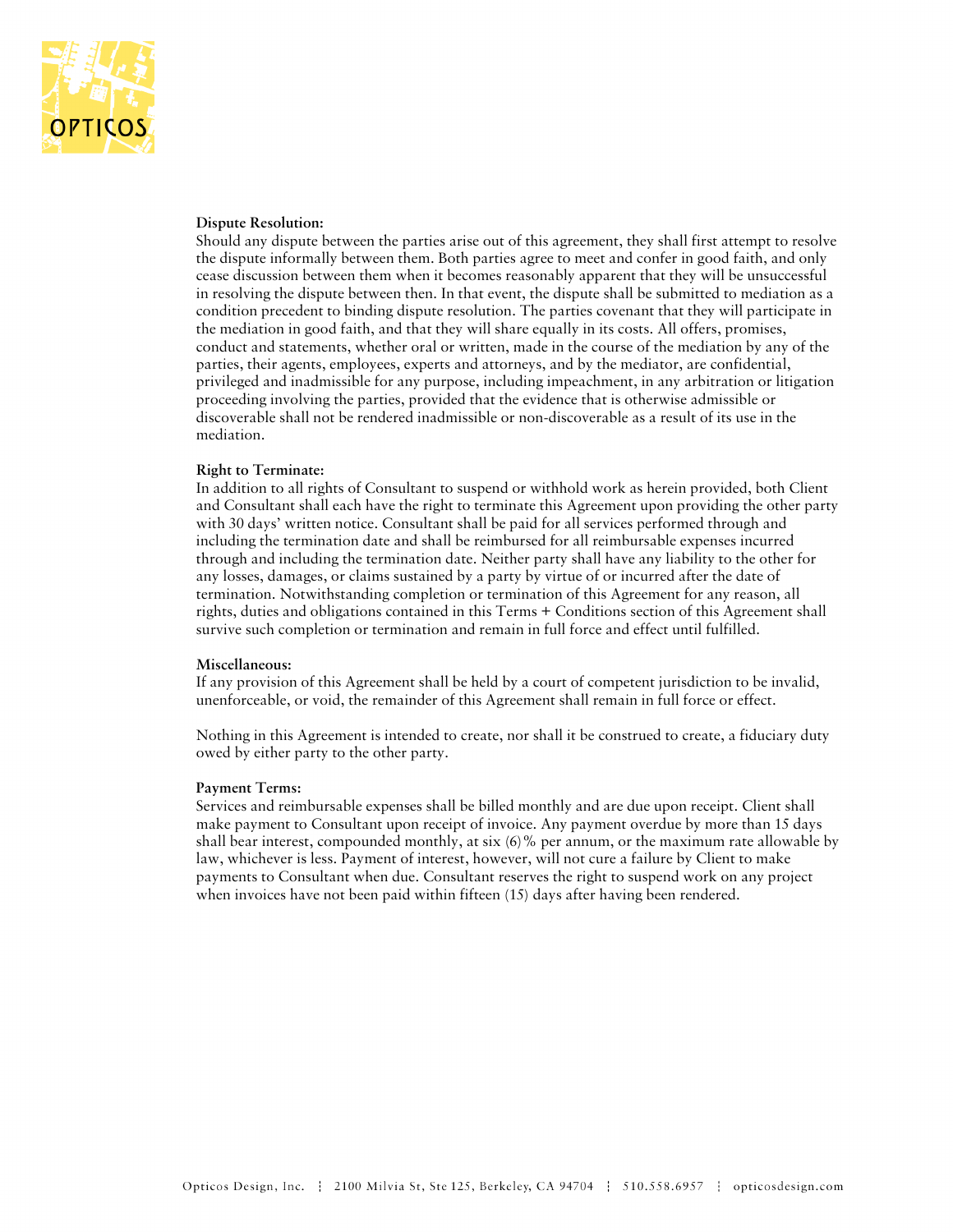

### **Dispute Resolution:**

Should any dispute between the parties arise out of this agreement, they shall first attempt to resolve the dispute informally between them. Both parties agree to meet and confer in good faith, and only cease discussion between them when it becomes reasonably apparent that they will be unsuccessful in resolving the dispute between then. In that event, the dispute shall be submitted to mediation as a condition precedent to binding dispute resolution. The parties covenant that they will participate in the mediation in good faith, and that they will share equally in its costs. All offers, promises, conduct and statements, whether oral or written, made in the course of the mediation by any of the parties, their agents, employees, experts and attorneys, and by the mediator, are confidential, privileged and inadmissible for any purpose, including impeachment, in any arbitration or litigation proceeding involving the parties, provided that the evidence that is otherwise admissible or discoverable shall not be rendered inadmissible or non-discoverable as a result of its use in the mediation.

#### **Right to Terminate:**

In addition to all rights of Consultant to suspend or withhold work as herein provided, both Client and Consultant shall each have the right to terminate this Agreement upon providing the other party with 30 days' written notice. Consultant shall be paid for all services performed through and including the termination date and shall be reimbursed for all reimbursable expenses incurred through and including the termination date. Neither party shall have any liability to the other for any losses, damages, or claims sustained by a party by virtue of or incurred after the date of termination. Notwithstanding completion or termination of this Agreement for any reason, all rights, duties and obligations contained in this Terms + Conditions section of this Agreement shall survive such completion or termination and remain in full force and effect until fulfilled.

#### **Miscellaneous:**

If any provision of this Agreement shall be held by a court of competent jurisdiction to be invalid, unenforceable, or void, the remainder of this Agreement shall remain in full force or effect.

Nothing in this Agreement is intended to create, nor shall it be construed to create, a fiduciary duty owed by either party to the other party.

#### **Payment Terms:**

Services and reimbursable expenses shall be billed monthly and are due upon receipt. Client shall make payment to Consultant upon receipt of invoice. Any payment overdue by more than 15 days shall bear interest, compounded monthly, at six  $(6)$ % per annum, or the maximum rate allowable by law, whichever is less. Payment of interest, however, will not cure a failure by Client to make payments to Consultant when due. Consultant reserves the right to suspend work on any project when invoices have not been paid within fifteen (15) days after having been rendered.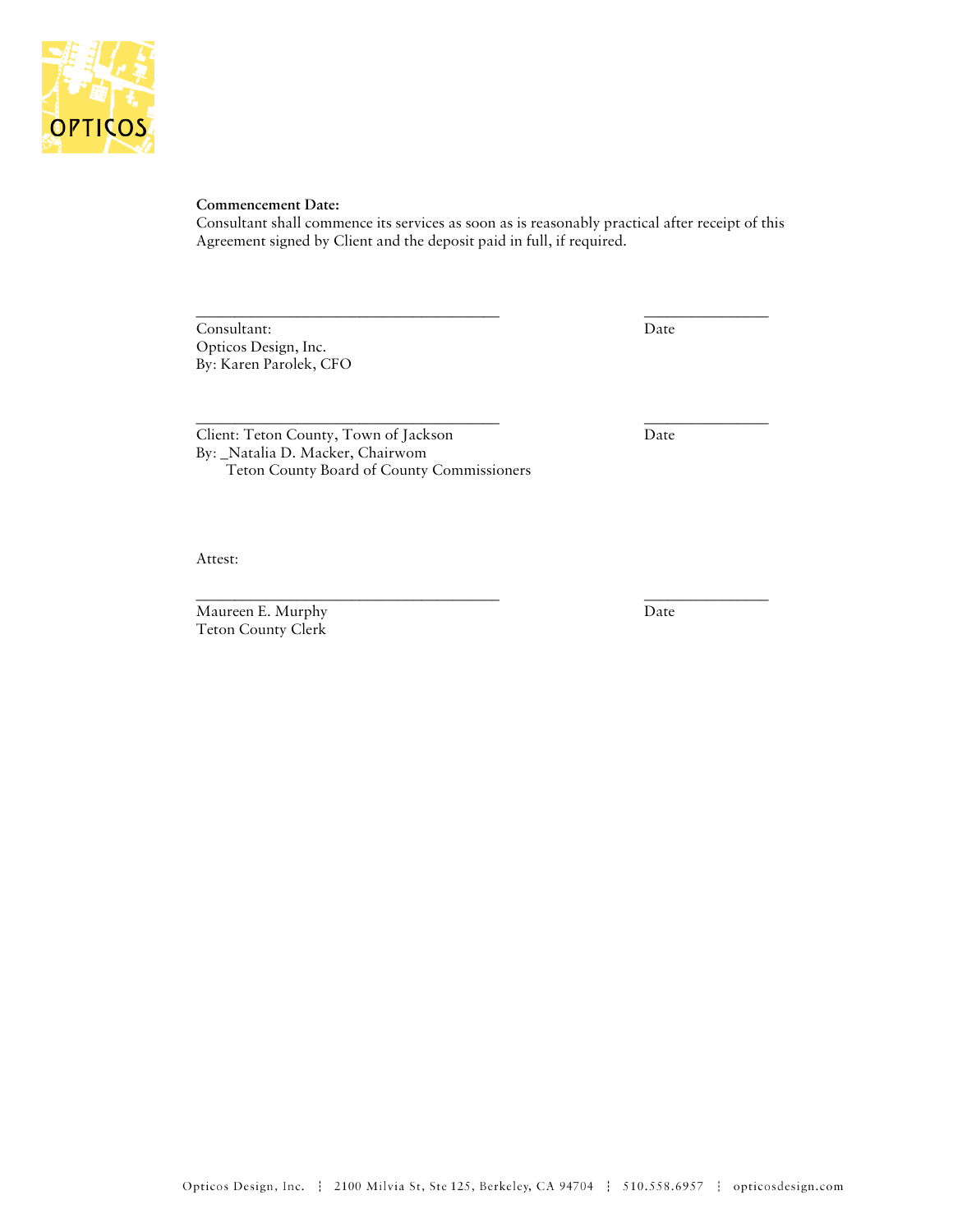

### **Commencement Date:**

Consultant shall commence its services as soon as is reasonably practical after receipt of this Agreement signed by Client and the deposit paid in full, if required.

\_\_\_\_\_\_\_\_\_\_\_\_\_\_\_\_\_\_\_\_\_\_\_\_\_\_\_\_\_\_\_\_\_\_\_\_\_\_\_ \_\_\_\_\_\_\_\_\_\_\_\_\_\_\_\_

\_\_\_\_\_\_\_\_\_\_\_\_\_\_\_\_\_\_\_\_\_\_\_\_\_\_\_\_\_\_\_\_\_\_\_\_\_\_\_ \_\_\_\_\_\_\_\_\_\_\_\_\_\_\_\_

Consultant: Date Opticos Design, Inc. By: Karen Parolek, CFO

Client: Teton County, Town of Jackson Date By: \_Natalia D. Macker, Chairwom Teton County Board of County Commissioners

\_\_\_\_\_\_\_\_\_\_\_\_\_\_\_\_\_\_\_\_\_\_\_\_\_\_\_\_\_\_\_\_\_\_\_\_\_\_\_ \_\_\_\_\_\_\_\_\_\_\_\_\_\_\_\_

Attest:

Maureen E. Murphy Date Teton County Clerk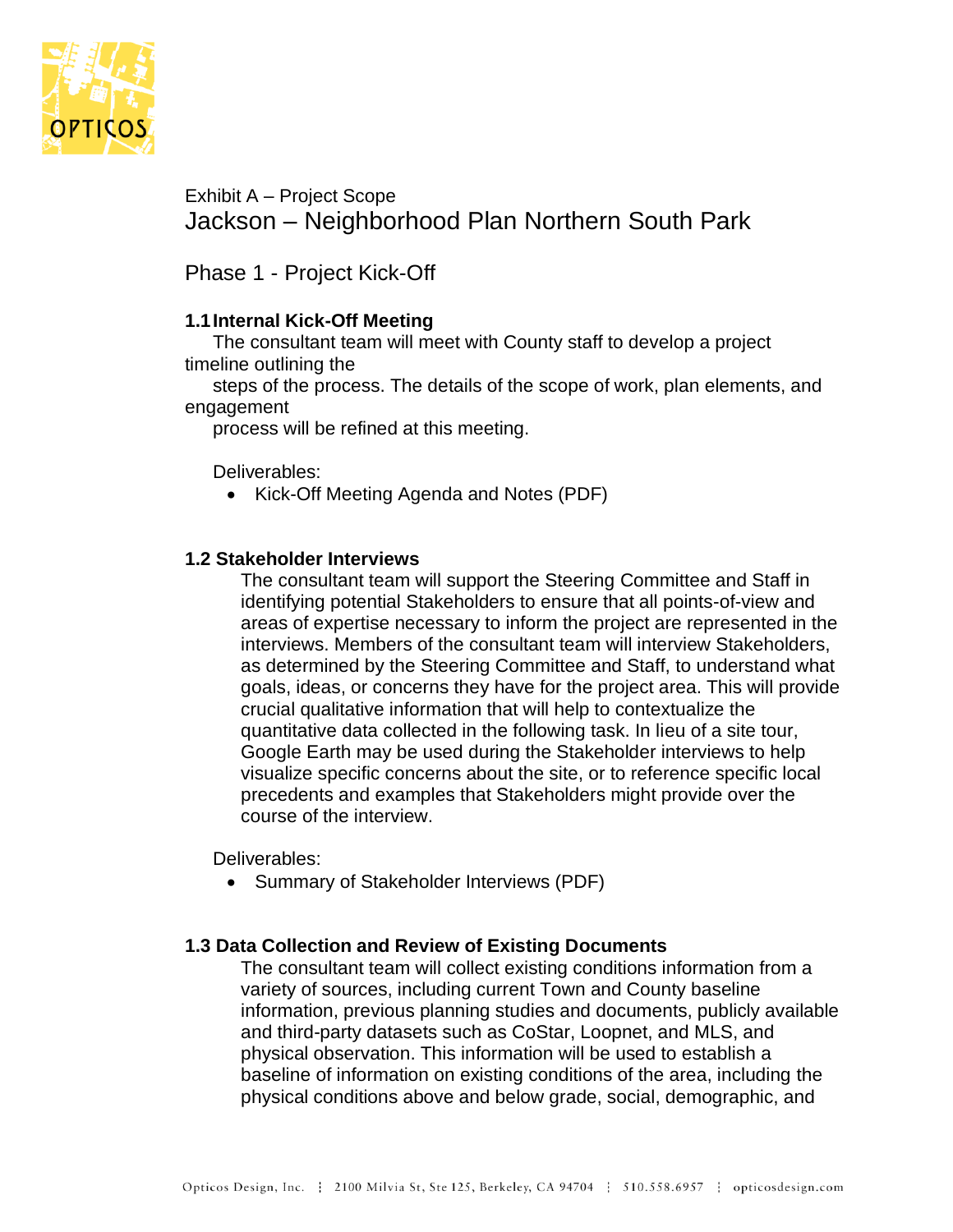

Exhibit A – Project Scope Jackson – Neighborhood Plan Northern South Park

Phase 1 - Project Kick-Off

## **1.1Internal Kick-Off Meeting**

The consultant team will meet with County staff to develop a project timeline outlining the

steps of the process. The details of the scope of work, plan elements, and engagement

process will be refined at this meeting.

Deliverables:

• Kick-Off Meeting Agenda and Notes (PDF)

## **1.2 Stakeholder Interviews**

The consultant team will support the Steering Committee and Staff in identifying potential Stakeholders to ensure that all points-of-view and areas of expertise necessary to inform the project are represented in the interviews. Members of the consultant team will interview Stakeholders, as determined by the Steering Committee and Staff, to understand what goals, ideas, or concerns they have for the project area. This will provide crucial qualitative information that will help to contextualize the quantitative data collected in the following task. In lieu of a site tour, Google Earth may be used during the Stakeholder interviews to help visualize specific concerns about the site, or to reference specific local precedents and examples that Stakeholders might provide over the course of the interview.

Deliverables:

• Summary of Stakeholder Interviews (PDF)

## **1.3 Data Collection and Review of Existing Documents**

The consultant team will collect existing conditions information from a variety of sources, including current Town and County baseline information, previous planning studies and documents, publicly available and third-party datasets such as CoStar, Loopnet, and MLS, and physical observation. This information will be used to establish a baseline of information on existing conditions of the area, including the physical conditions above and below grade, social, demographic, and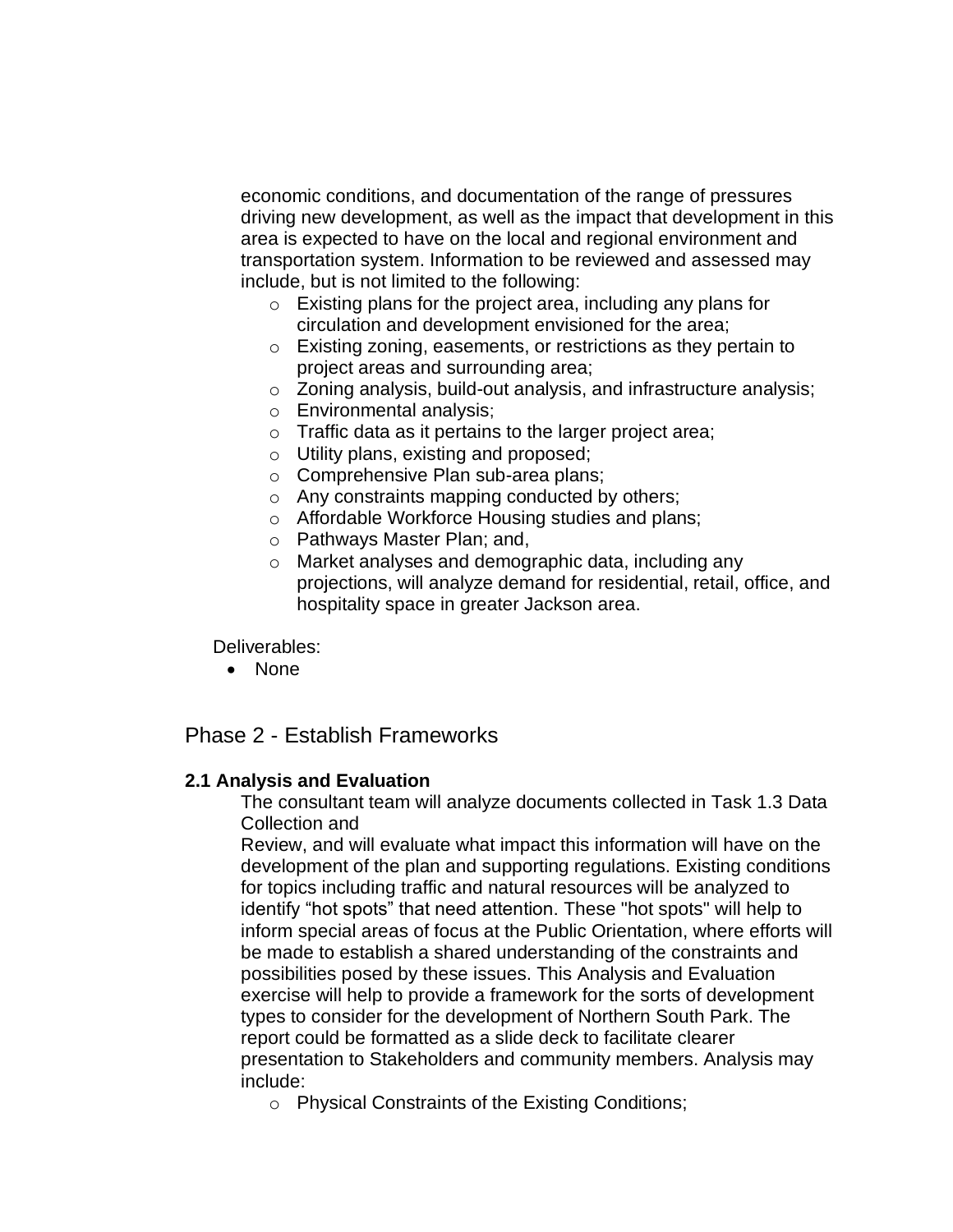economic conditions, and documentation of the range of pressures driving new development, as well as the impact that development in this area is expected to have on the local and regional environment and transportation system. Information to be reviewed and assessed may include, but is not limited to the following:

- o Existing plans for the project area, including any plans for circulation and development envisioned for the area;
- o Existing zoning, easements, or restrictions as they pertain to project areas and surrounding area;
- o Zoning analysis, build-out analysis, and infrastructure analysis;
- o Environmental analysis;
- o Traffic data as it pertains to the larger project area;
- o Utility plans, existing and proposed;
- o Comprehensive Plan sub-area plans;
- o Any constraints mapping conducted by others;
- o Affordable Workforce Housing studies and plans;
- o Pathways Master Plan; and,
- o Market analyses and demographic data, including any projections, will analyze demand for residential, retail, office, and hospitality space in greater Jackson area.

Deliverables:

• None

# Phase 2 - Establish Frameworks

## **2.1 Analysis and Evaluation**

The consultant team will analyze documents collected in Task 1.3 Data Collection and

Review, and will evaluate what impact this information will have on the development of the plan and supporting regulations. Existing conditions for topics including traffic and natural resources will be analyzed to identify "hot spots" that need attention. These "hot spots" will help to inform special areas of focus at the Public Orientation, where efforts will be made to establish a shared understanding of the constraints and possibilities posed by these issues. This Analysis and Evaluation exercise will help to provide a framework for the sorts of development types to consider for the development of Northern South Park. The report could be formatted as a slide deck to facilitate clearer presentation to Stakeholders and community members. Analysis may include:

o Physical Constraints of the Existing Conditions;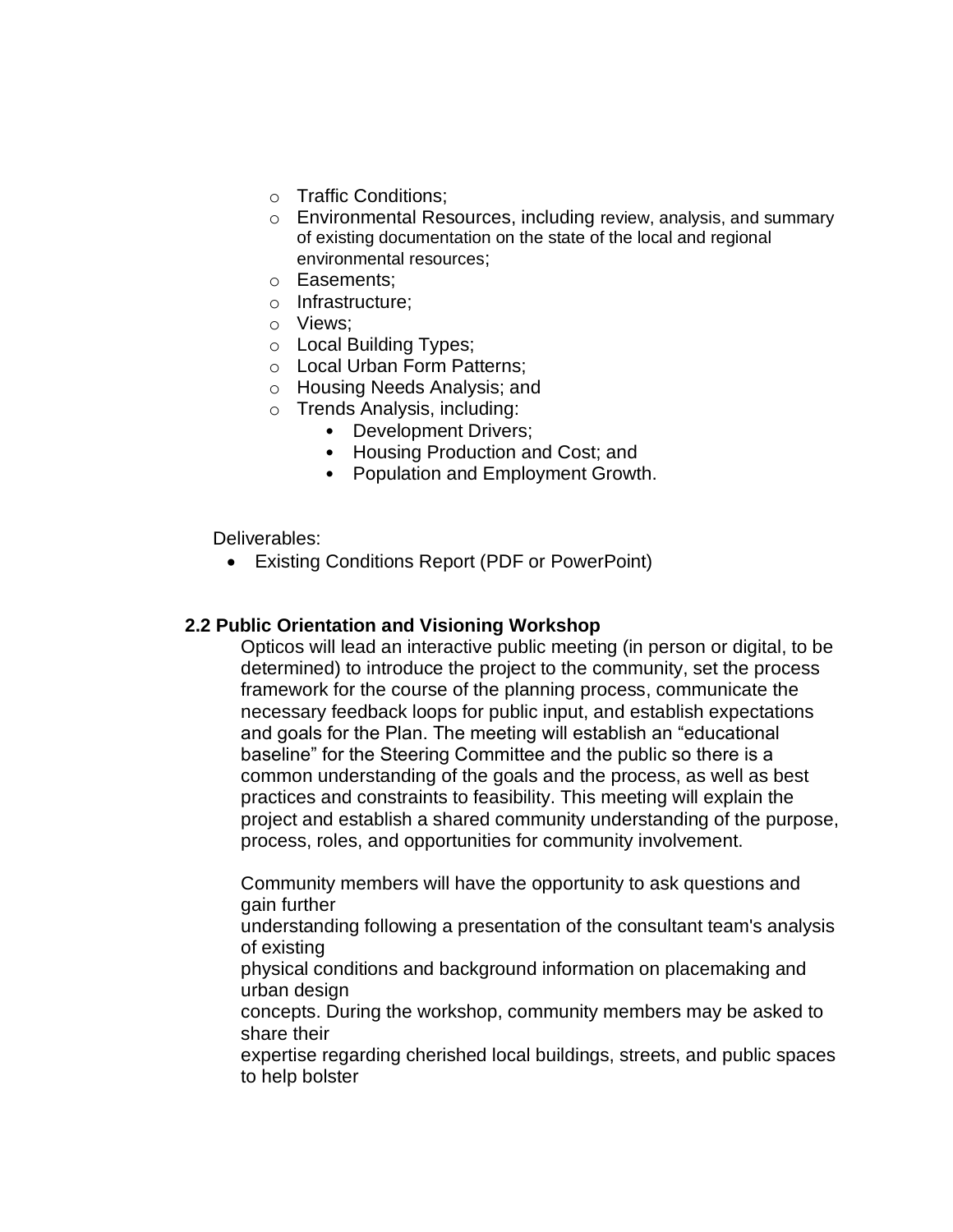- o Traffic Conditions;
- o Environmental Resources, including review, analysis, and summary of existing documentation on the state of the local and regional environmental resources;
- o Easements;
- o Infrastructure;
- o Views;
- o Local Building Types;
- o Local Urban Form Patterns;
- o Housing Needs Analysis; and
- o Trends Analysis, including:
	- Development Drivers;
	- Housing Production and Cost; and
	- Population and Employment Growth.

Deliverables:

• Existing Conditions Report (PDF or PowerPoint)

## **2.2 Public Orientation and Visioning Workshop**

Opticos will lead an interactive public meeting (in person or digital, to be determined) to introduce the project to the community, set the process framework for the course of the planning process, communicate the necessary feedback loops for public input, and establish expectations and goals for the Plan. The meeting will establish an "educational baseline" for the Steering Committee and the public so there is a common understanding of the goals and the process, as well as best practices and constraints to feasibility. This meeting will explain the project and establish a shared community understanding of the purpose, process, roles, and opportunities for community involvement.

Community members will have the opportunity to ask questions and gain further

understanding following a presentation of the consultant team's analysis of existing

physical conditions and background information on placemaking and urban design

concepts. During the workshop, community members may be asked to share their

expertise regarding cherished local buildings, streets, and public spaces to help bolster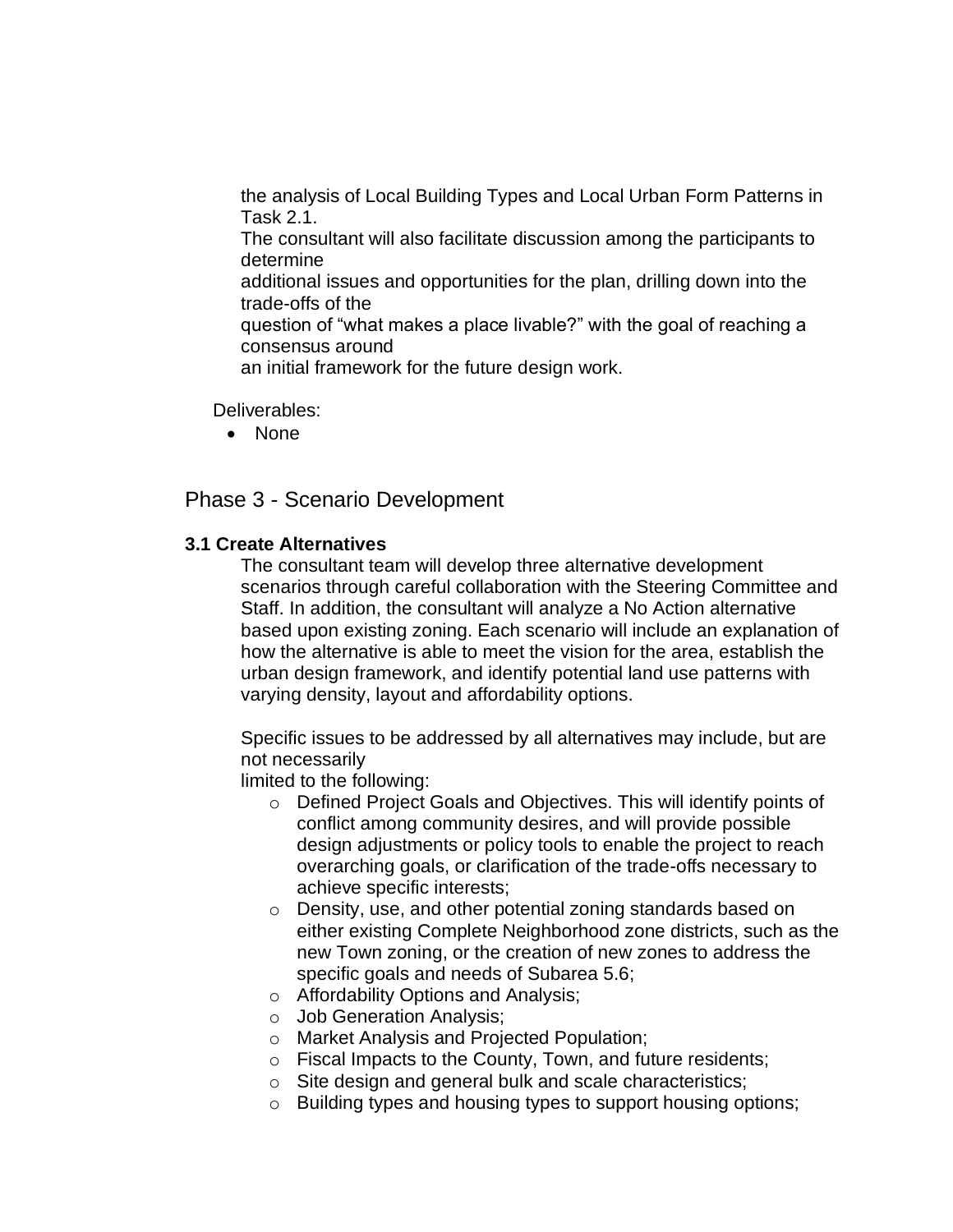the analysis of Local Building Types and Local Urban Form Patterns in Task 2.1.

The consultant will also facilitate discussion among the participants to determine

additional issues and opportunities for the plan, drilling down into the trade-offs of the

question of "what makes a place livable?" with the goal of reaching a consensus around

an initial framework for the future design work.

Deliverables:

• None

# Phase 3 - Scenario Development

## **3.1 Create Alternatives**

The consultant team will develop three alternative development scenarios through careful collaboration with the Steering Committee and Staff. In addition, the consultant will analyze a No Action alternative based upon existing zoning. Each scenario will include an explanation of how the alternative is able to meet the vision for the area, establish the urban design framework, and identify potential land use patterns with varying density, layout and affordability options.

Specific issues to be addressed by all alternatives may include, but are not necessarily

limited to the following:

- o Defined Project Goals and Objectives. This will identify points of conflict among community desires, and will provide possible design adjustments or policy tools to enable the project to reach overarching goals, or clarification of the trade-offs necessary to achieve specific interests;
- o Density, use, and other potential zoning standards based on either existing Complete Neighborhood zone districts, such as the new Town zoning, or the creation of new zones to address the specific goals and needs of Subarea 5.6;
- o Affordability Options and Analysis;
- o Job Generation Analysis;
- o Market Analysis and Projected Population;
- o Fiscal Impacts to the County, Town, and future residents;
- o Site design and general bulk and scale characteristics;
- o Building types and housing types to support housing options;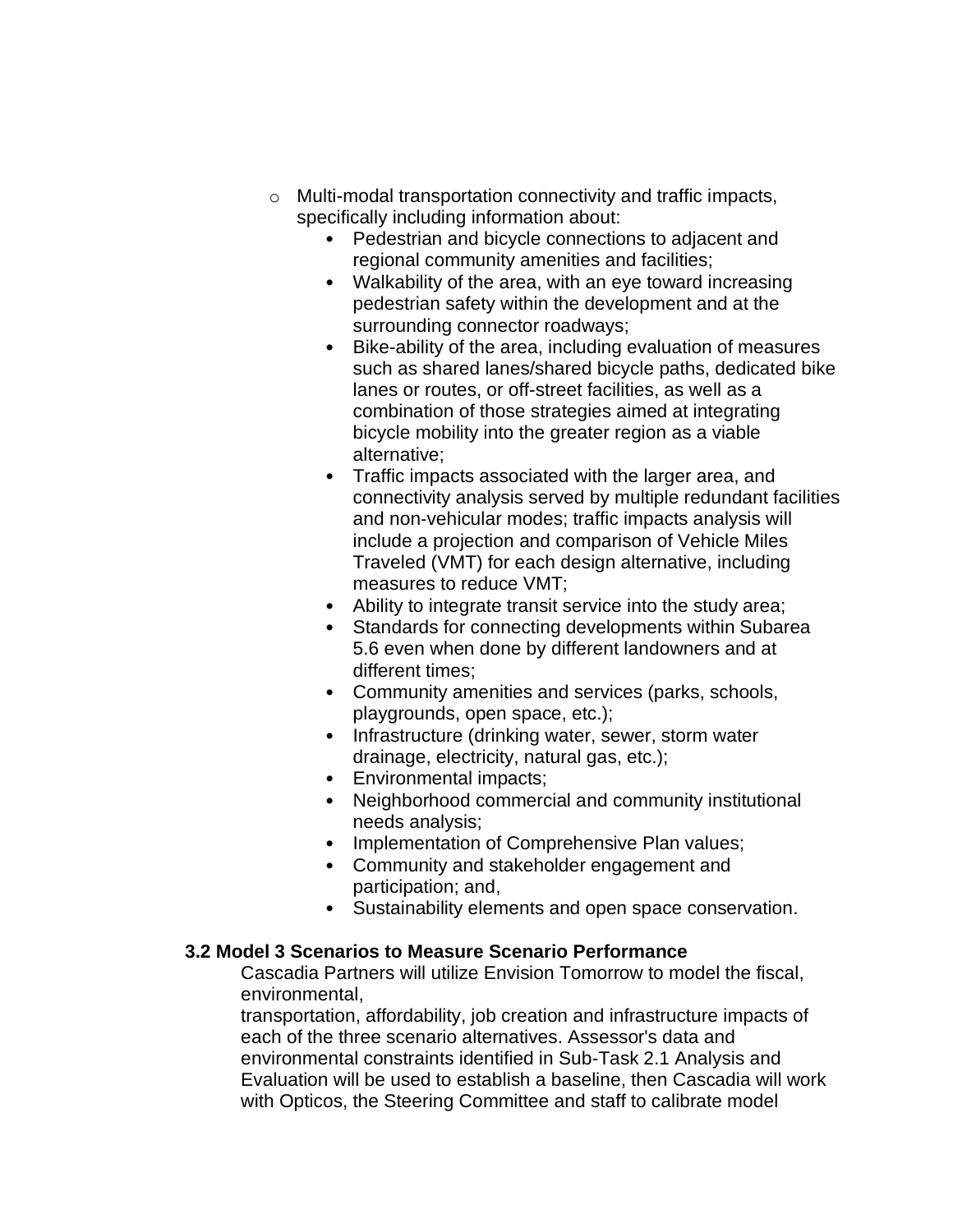- o Multi-modal transportation connectivity and traffic impacts, specifically including information about:
	- Pedestrian and bicycle connections to adjacent and regional community amenities and facilities;
	- Walkability of the area, with an eye toward increasing pedestrian safety within the development and at the surrounding connector roadways;
	- Bike-ability of the area, including evaluation of measures such as shared lanes/shared bicycle paths, dedicated bike lanes or routes, or off-street facilities, as well as a combination of those strategies aimed at integrating bicycle mobility into the greater region as a viable alternative;
	- Traffic impacts associated with the larger area, and connectivity analysis served by multiple redundant facilities and non‐vehicular modes; traffic impacts analysis will include a projection and comparison of Vehicle Miles Traveled (VMT) for each design alternative, including measures to reduce VMT;
	- Ability to integrate transit service into the study area;
	- Standards for connecting developments within Subarea 5.6 even when done by different landowners and at different times;
	- Community amenities and services (parks, schools, playgrounds, open space, etc.);
	- Infrastructure (drinking water, sewer, storm water drainage, electricity, natural gas, etc.);
	- Environmental impacts;
	- Neighborhood commercial and community institutional needs analysis;
	- Implementation of Comprehensive Plan values;
	- Community and stakeholder engagement and participation; and,
	- Sustainability elements and open space conservation.

# **3.2 Model 3 Scenarios to Measure Scenario Performance**

Cascadia Partners will utilize Envision Tomorrow to model the fiscal, environmental,

transportation, affordability, job creation and infrastructure impacts of each of the three scenario alternatives. Assessor's data and environmental constraints identified in Sub-Task 2.1 Analysis and Evaluation will be used to establish a baseline, then Cascadia will work with Opticos, the Steering Committee and staff to calibrate model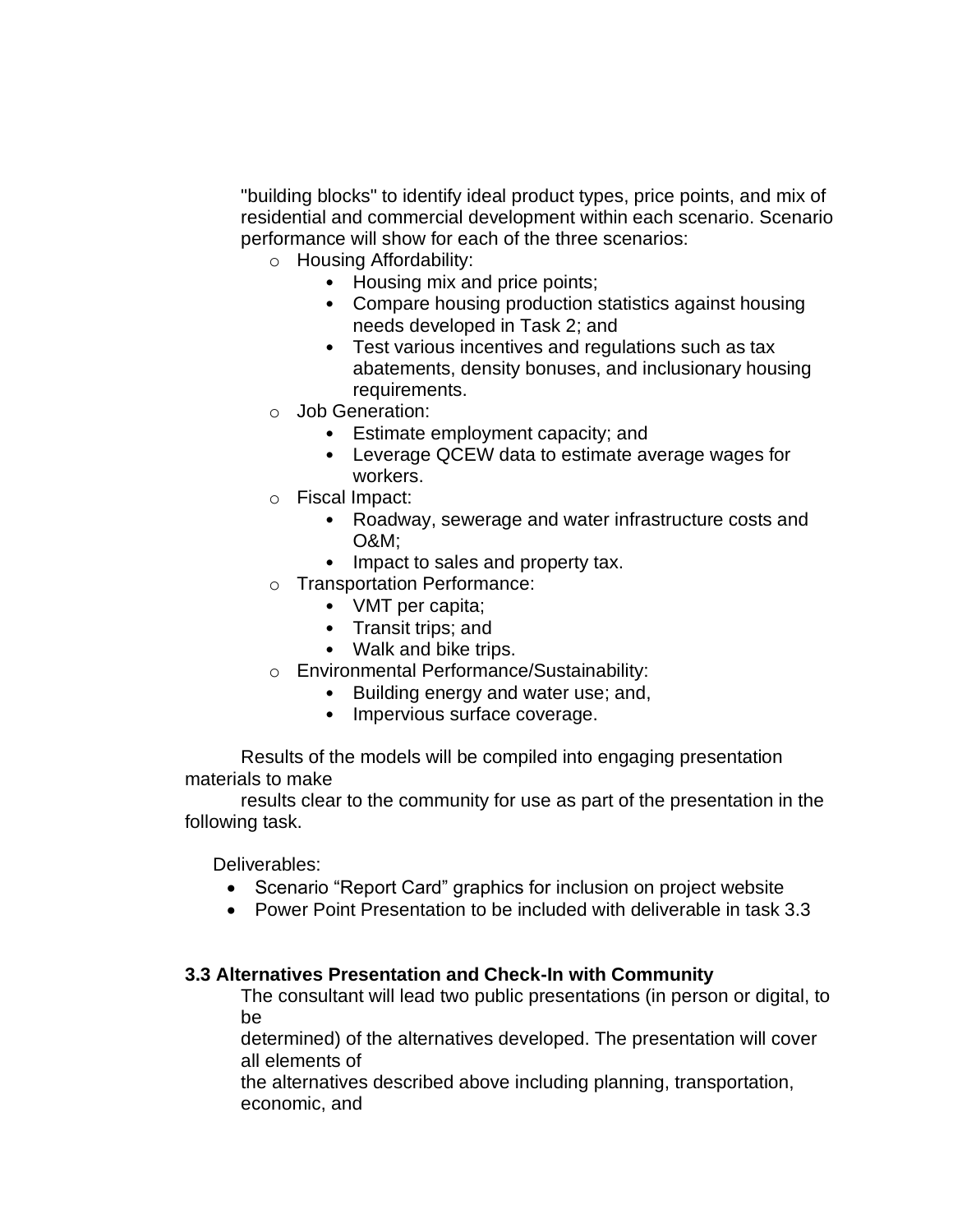"building blocks" to identify ideal product types, price points, and mix of residential and commercial development within each scenario. Scenario performance will show for each of the three scenarios:

- o Housing Affordability:
	- Housing mix and price points;
	- Compare housing production statistics against housing needs developed in Task 2; and
	- Test various incentives and regulations such as tax abatements, density bonuses, and inclusionary housing requirements.
- o Job Generation:
	- Estimate employment capacity; and
	- Leverage QCEW data to estimate average wages for workers.
- o Fiscal Impact:
	- Roadway, sewerage and water infrastructure costs and O&M;
	- Impact to sales and property tax.
- o Transportation Performance:
	- VMT per capita;
	- Transit trips; and
	- Walk and bike trips.
- o Environmental Performance/Sustainability:
	- Building energy and water use; and,
	- Impervious surface coverage.

Results of the models will be compiled into engaging presentation materials to make

results clear to the community for use as part of the presentation in the following task.

Deliverables:

- Scenario "Report Card" graphics for inclusion on project website
- Power Point Presentation to be included with deliverable in task 3.3

## **3.3 Alternatives Presentation and Check-In with Community**

The consultant will lead two public presentations (in person or digital, to be

determined) of the alternatives developed. The presentation will cover all elements of

the alternatives described above including planning, transportation, economic, and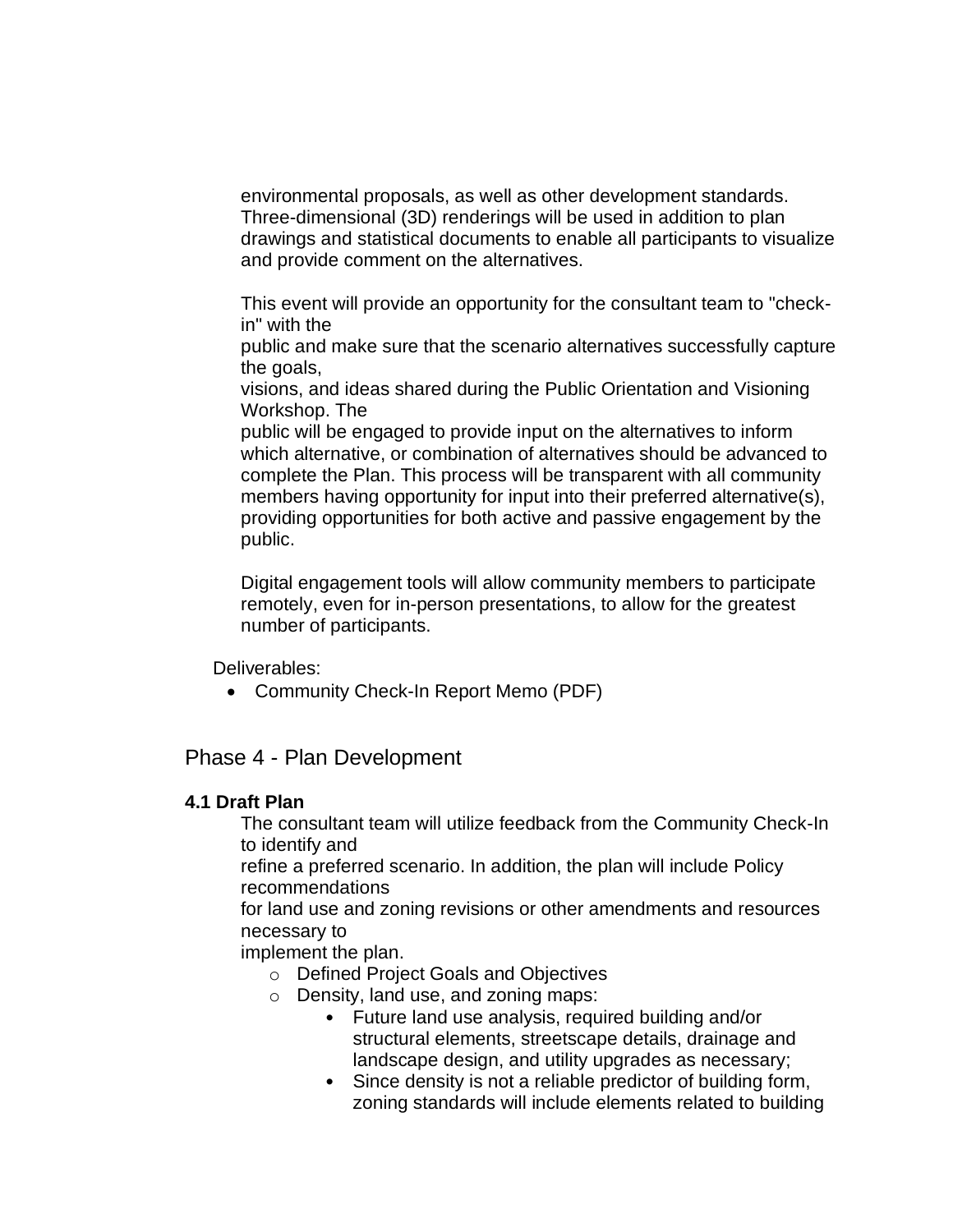environmental proposals, as well as other development standards. Three-dimensional (3D) renderings will be used in addition to plan drawings and statistical documents to enable all participants to visualize and provide comment on the alternatives.

This event will provide an opportunity for the consultant team to "checkin" with the

public and make sure that the scenario alternatives successfully capture the goals,

visions, and ideas shared during the Public Orientation and Visioning Workshop. The

public will be engaged to provide input on the alternatives to inform which alternative, or combination of alternatives should be advanced to complete the Plan. This process will be transparent with all community members having opportunity for input into their preferred alternative(s), providing opportunities for both active and passive engagement by the public.

Digital engagement tools will allow community members to participate remotely, even for in-person presentations, to allow for the greatest number of participants.

Deliverables:

• Community Check-In Report Memo (PDF)

Phase 4 - Plan Development

## **4.1 Draft Plan**

The consultant team will utilize feedback from the Community Check-In to identify and

refine a preferred scenario. In addition, the plan will include Policy recommendations

for land use and zoning revisions or other amendments and resources necessary to

implement the plan.

- o Defined Project Goals and Objectives
- o Density, land use, and zoning maps:
	- Future land use analysis, required building and/or structural elements, streetscape details, drainage and landscape design, and utility upgrades as necessary;
	- Since density is not a reliable predictor of building form, zoning standards will include elements related to building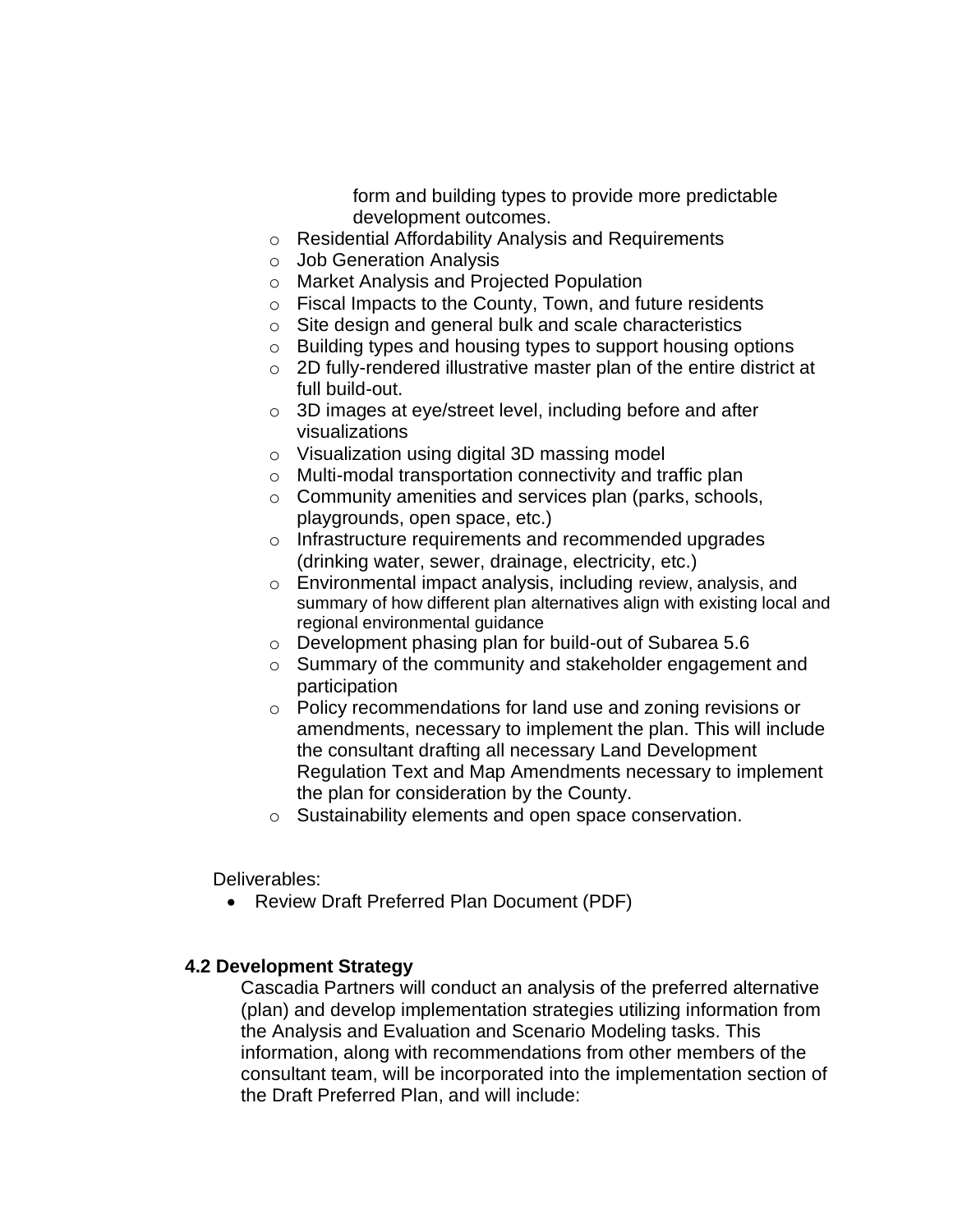form and building types to provide more predictable development outcomes.

- o Residential Affordability Analysis and Requirements
- o Job Generation Analysis
- o Market Analysis and Projected Population
- o Fiscal Impacts to the County, Town, and future residents
- o Site design and general bulk and scale characteristics
- o Building types and housing types to support housing options
- o 2D fully-rendered illustrative master plan of the entire district at full build-out.
- o 3D images at eye/street level, including before and after visualizations
- o Visualization using digital 3D massing model
- o Multi-modal transportation connectivity and traffic plan
- o Community amenities and services plan (parks, schools, playgrounds, open space, etc.)
- o Infrastructure requirements and recommended upgrades (drinking water, sewer, drainage, electricity, etc.)
- o Environmental impact analysis, including review, analysis, and summary of how different plan alternatives align with existing local and regional environmental guidance
- o Development phasing plan for build-out of Subarea 5.6
- o Summary of the community and stakeholder engagement and participation
- o Policy recommendations for land use and zoning revisions or amendments, necessary to implement the plan. This will include the consultant drafting all necessary Land Development Regulation Text and Map Amendments necessary to implement the plan for consideration by the County.
- o Sustainability elements and open space conservation.

Deliverables:

• Review Draft Preferred Plan Document (PDF)

## **4.2 Development Strategy**

Cascadia Partners will conduct an analysis of the preferred alternative (plan) and develop implementation strategies utilizing information from the Analysis and Evaluation and Scenario Modeling tasks. This information, along with recommendations from other members of the consultant team, will be incorporated into the implementation section of the Draft Preferred Plan, and will include: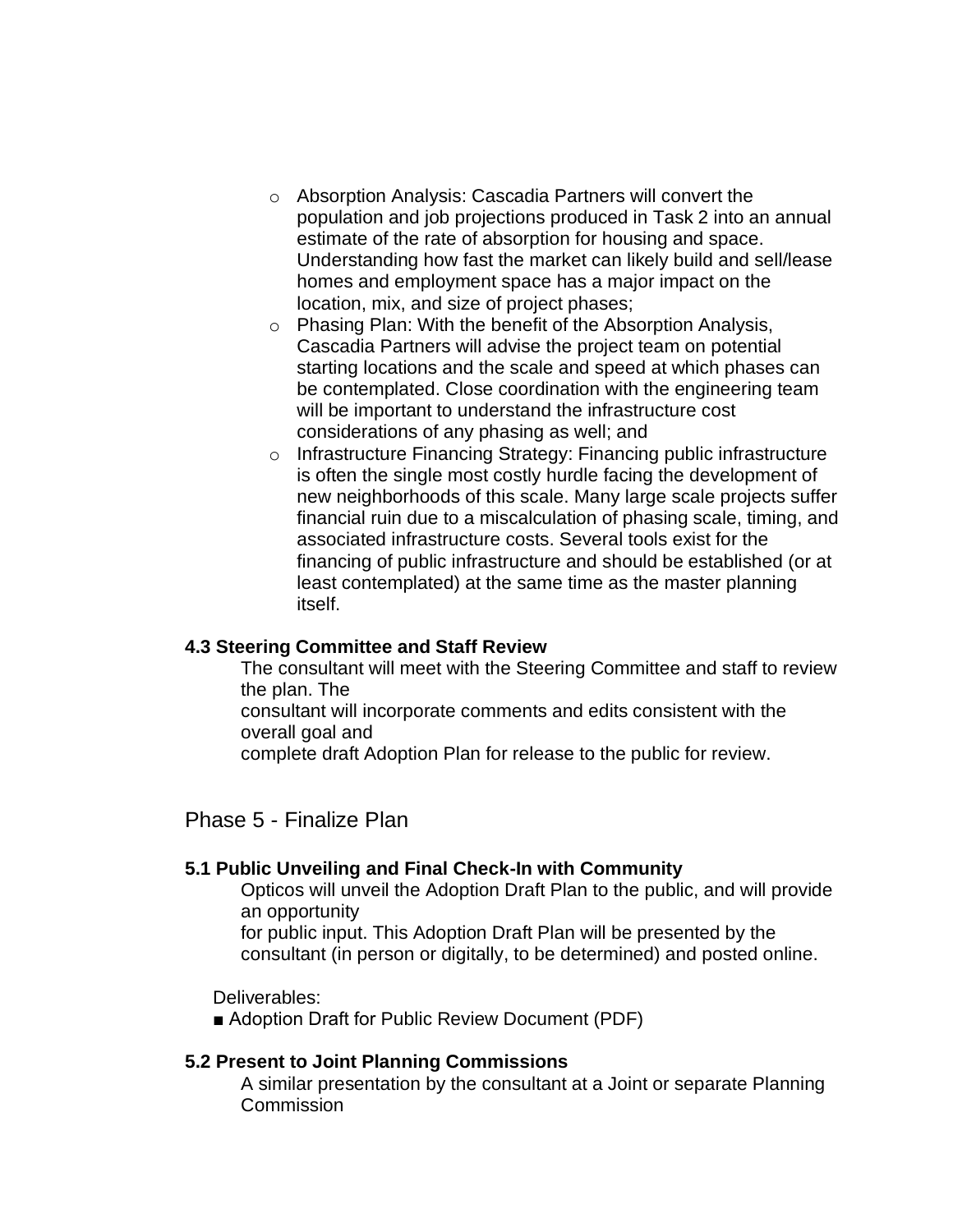- o Absorption Analysis: Cascadia Partners will convert the population and job projections produced in Task 2 into an annual estimate of the rate of absorption for housing and space. Understanding how fast the market can likely build and sell/lease homes and employment space has a major impact on the location, mix, and size of project phases;
- o Phasing Plan: With the benefit of the Absorption Analysis, Cascadia Partners will advise the project team on potential starting locations and the scale and speed at which phases can be contemplated. Close coordination with the engineering team will be important to understand the infrastructure cost considerations of any phasing as well; and
- o Infrastructure Financing Strategy: Financing public infrastructure is often the single most costly hurdle facing the development of new neighborhoods of this scale. Many large scale projects suffer financial ruin due to a miscalculation of phasing scale, timing, and associated infrastructure costs. Several tools exist for the financing of public infrastructure and should be established (or at least contemplated) at the same time as the master planning itself.

## **4.3 Steering Committee and Staff Review**

The consultant will meet with the Steering Committee and staff to review the plan. The

consultant will incorporate comments and edits consistent with the overall goal and

complete draft Adoption Plan for release to the public for review.

Phase 5 - Finalize Plan

## **5.1 Public Unveiling and Final Check-In with Community**

Opticos will unveil the Adoption Draft Plan to the public, and will provide an opportunity

for public input. This Adoption Draft Plan will be presented by the consultant (in person or digitally, to be determined) and posted online.

Deliverables:

■ Adoption Draft for Public Review Document (PDF)

## **5.2 Present to Joint Planning Commissions**

A similar presentation by the consultant at a Joint or separate Planning **Commission**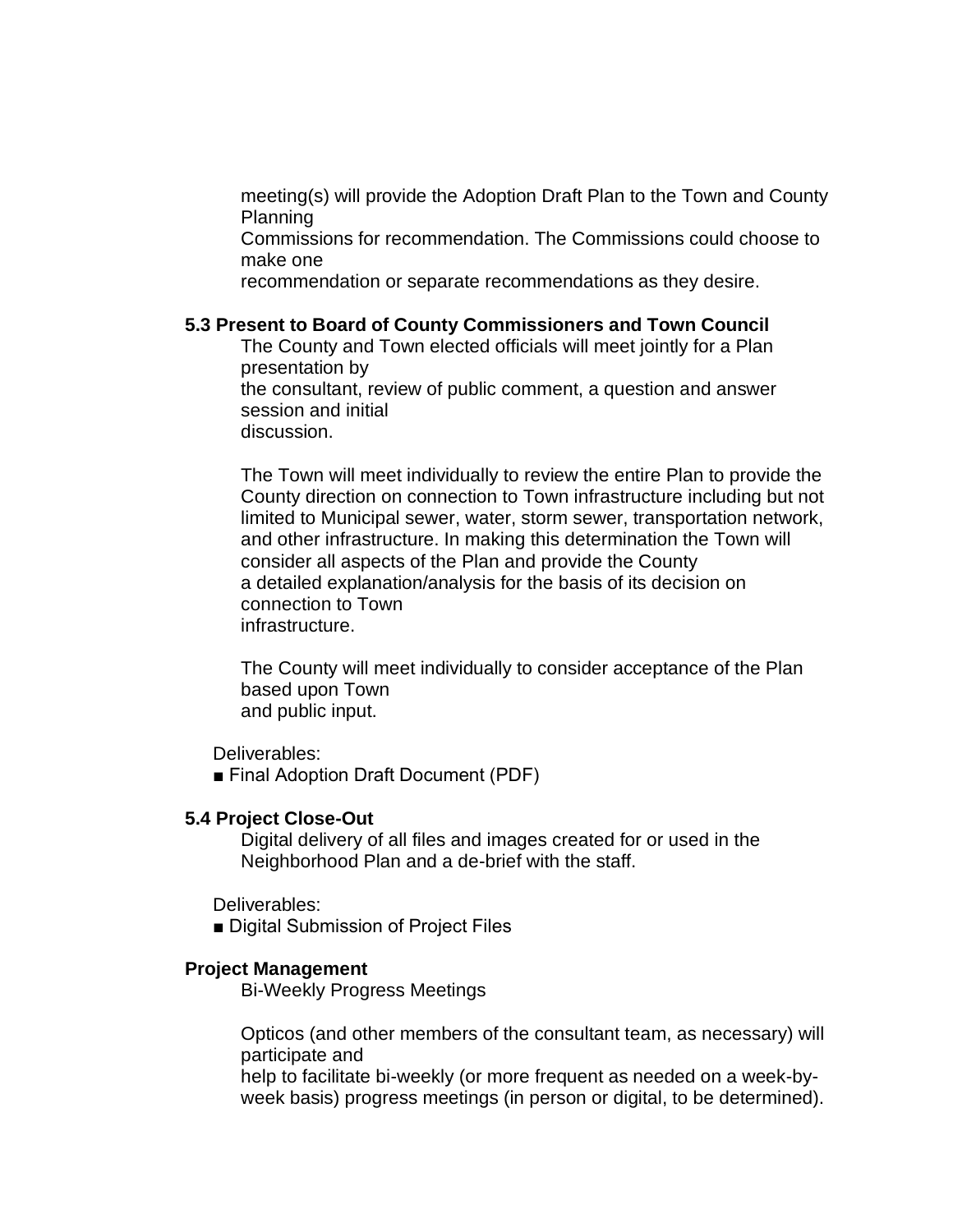meeting(s) will provide the Adoption Draft Plan to the Town and County Planning

Commissions for recommendation. The Commissions could choose to make one

recommendation or separate recommendations as they desire.

## **5.3 Present to Board of County Commissioners and Town Council**

The County and Town elected officials will meet jointly for a Plan presentation by

the consultant, review of public comment, a question and answer session and initial

discussion.

The Town will meet individually to review the entire Plan to provide the County direction on connection to Town infrastructure including but not limited to Municipal sewer, water, storm sewer, transportation network, and other infrastructure. In making this determination the Town will consider all aspects of the Plan and provide the County a detailed explanation/analysis for the basis of its decision on connection to Town infrastructure.

The County will meet individually to consider acceptance of the Plan based upon Town and public input.

Deliverables:

■ Final Adoption Draft Document (PDF)

## **5.4 Project Close-Out**

Digital delivery of all files and images created for or used in the Neighborhood Plan and a de-brief with the staff.

Deliverables:

■ Digital Submission of Project Files

## **Project Management**

Bi-Weekly Progress Meetings

Opticos (and other members of the consultant team, as necessary) will participate and

help to facilitate bi-weekly (or more frequent as needed on a week-byweek basis) progress meetings (in person or digital, to be determined).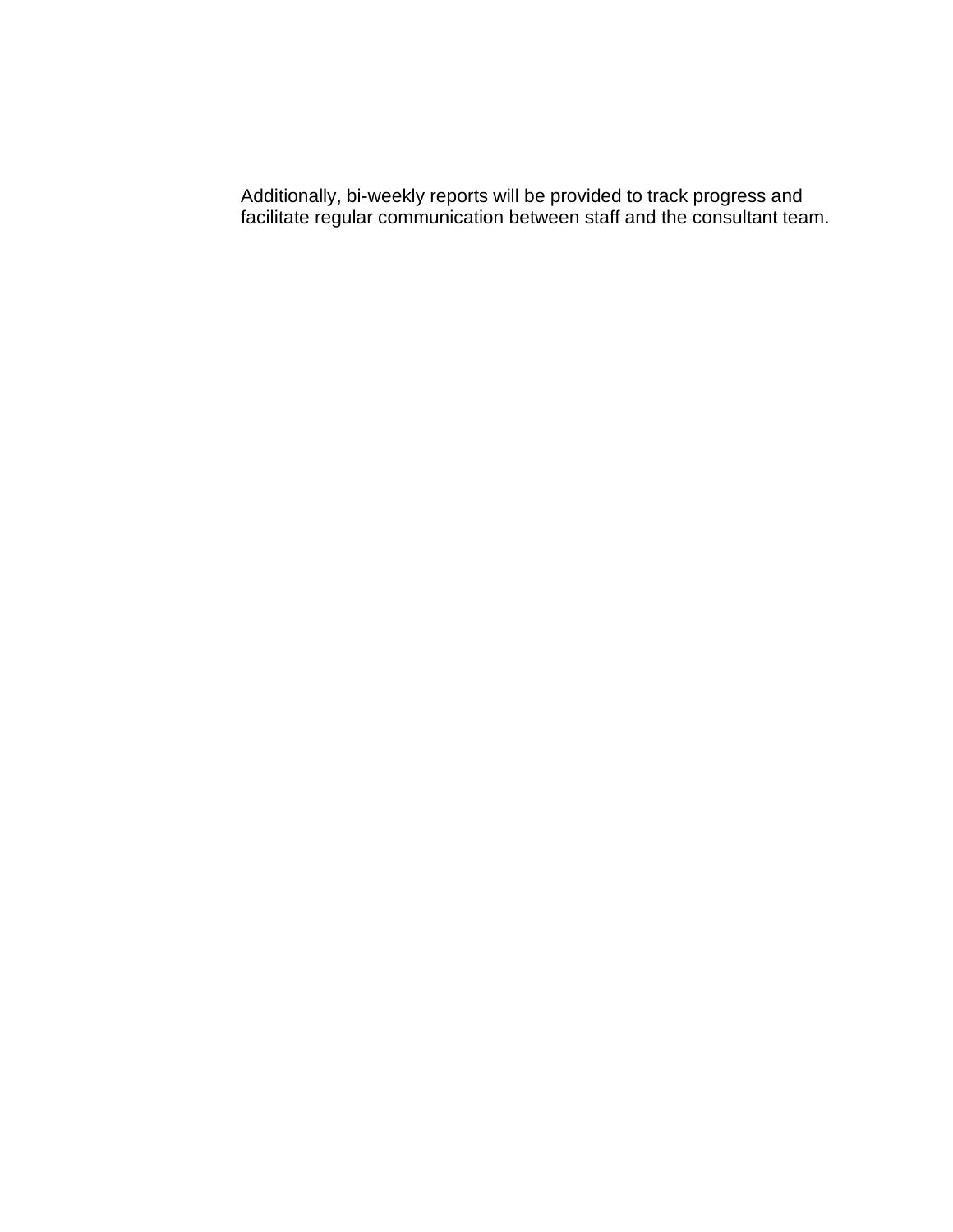Additionally, bi-weekly reports will be provided to track progress and facilitate regular communication between staff and the consultant team.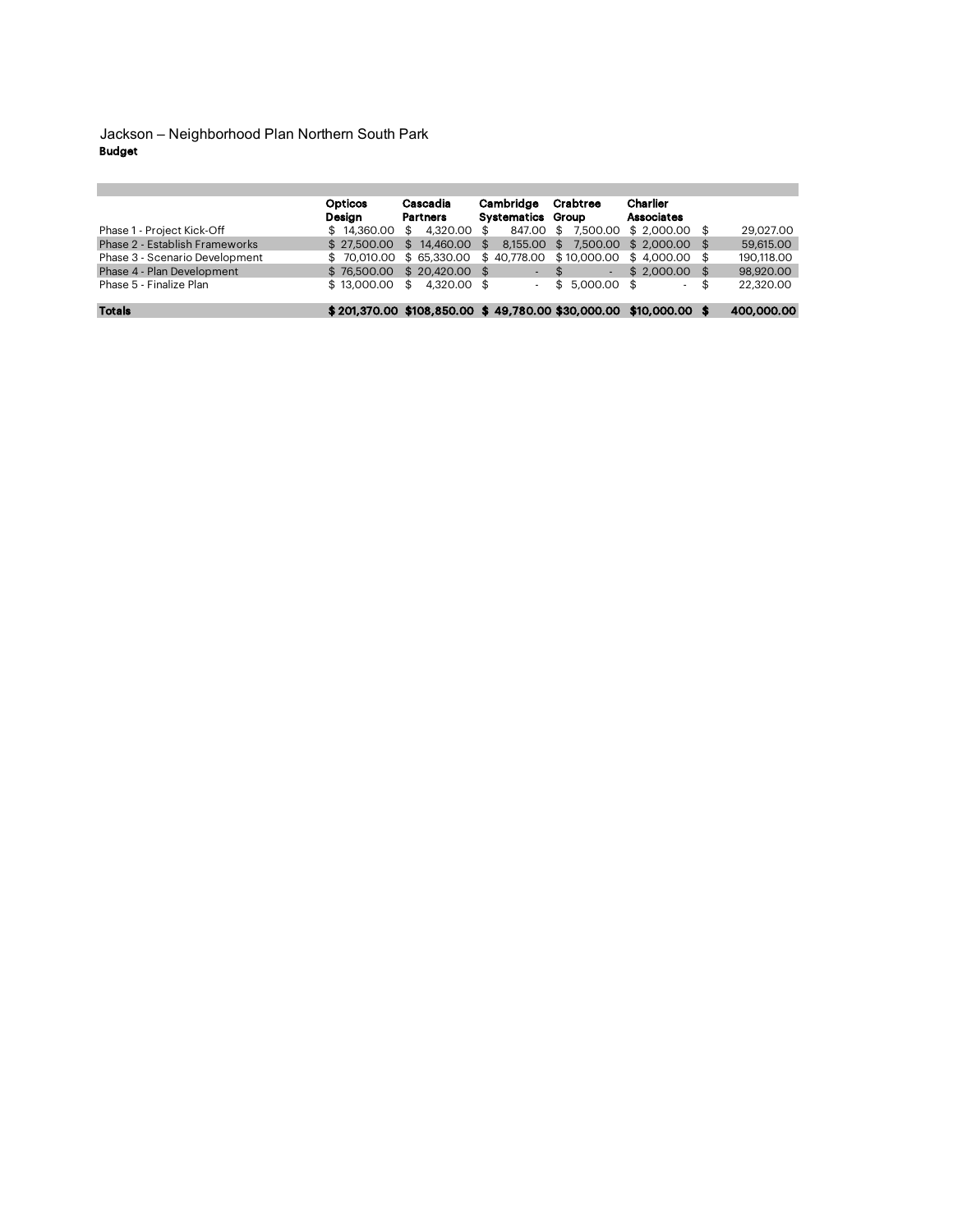Budget Jackson – Neighborhood Plan Northern South Park

|                                | Opticos     | Cascadia                                                         | Cambridge         | Crabtree                                  | Charlier                |                 |
|--------------------------------|-------------|------------------------------------------------------------------|-------------------|-------------------------------------------|-------------------------|-----------------|
|                                | Desian      | <b>Partners</b>                                                  | Systematics Group |                                           | <b>Associates</b>       |                 |
| Phase 1 - Project Kick-Off     | \$14,360,00 | 4,320,00<br>\$                                                   | 847.00            | $$7.500.00 \text{ } $2.000.00 \text{ } $$ |                         | 29.027.00       |
| Phase 2 - Establish Frameworks | \$27.500.00 | \$14,460,00                                                      | 8.155.00<br>\$    | \$                                        | 7.500.00 \$ 2.000.00 \$ | 59,615.00       |
| Phase 3 - Scenario Development | \$70,010,00 | \$65,330,00                                                      | \$40,778,00       | \$10,000.00 \$4,000.00 \$                 |                         | 190.118.00      |
| Phase 4 - Plan Development     | \$76,500.00 | \$20,420,00                                                      |                   | æ.                                        | $$2,000.00$ \$          | 98,920,00       |
| Phase 5 - Finalize Plan        | \$13,000.00 | 4.320.00 \$<br>\$                                                |                   | $$5.000.00$ \$                            | $\sim$                  | \$<br>22,320.00 |
| <b>Totals</b>                  |             | \$201.370.00 \$108.850.00 \$49.780.00 \$30.000.00 \$10.000.00 \$ |                   |                                           |                         | 400,000.00      |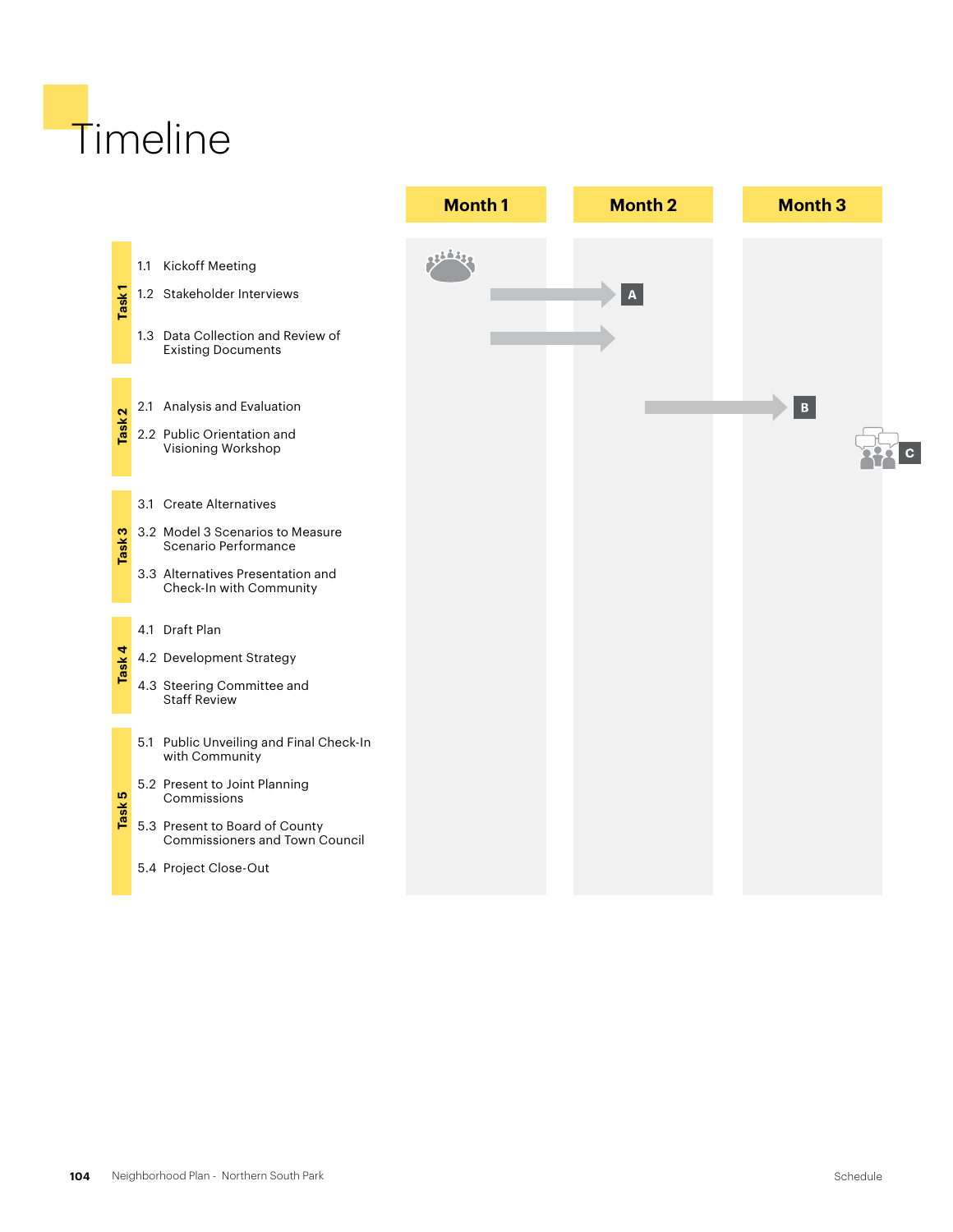# **Timeline**

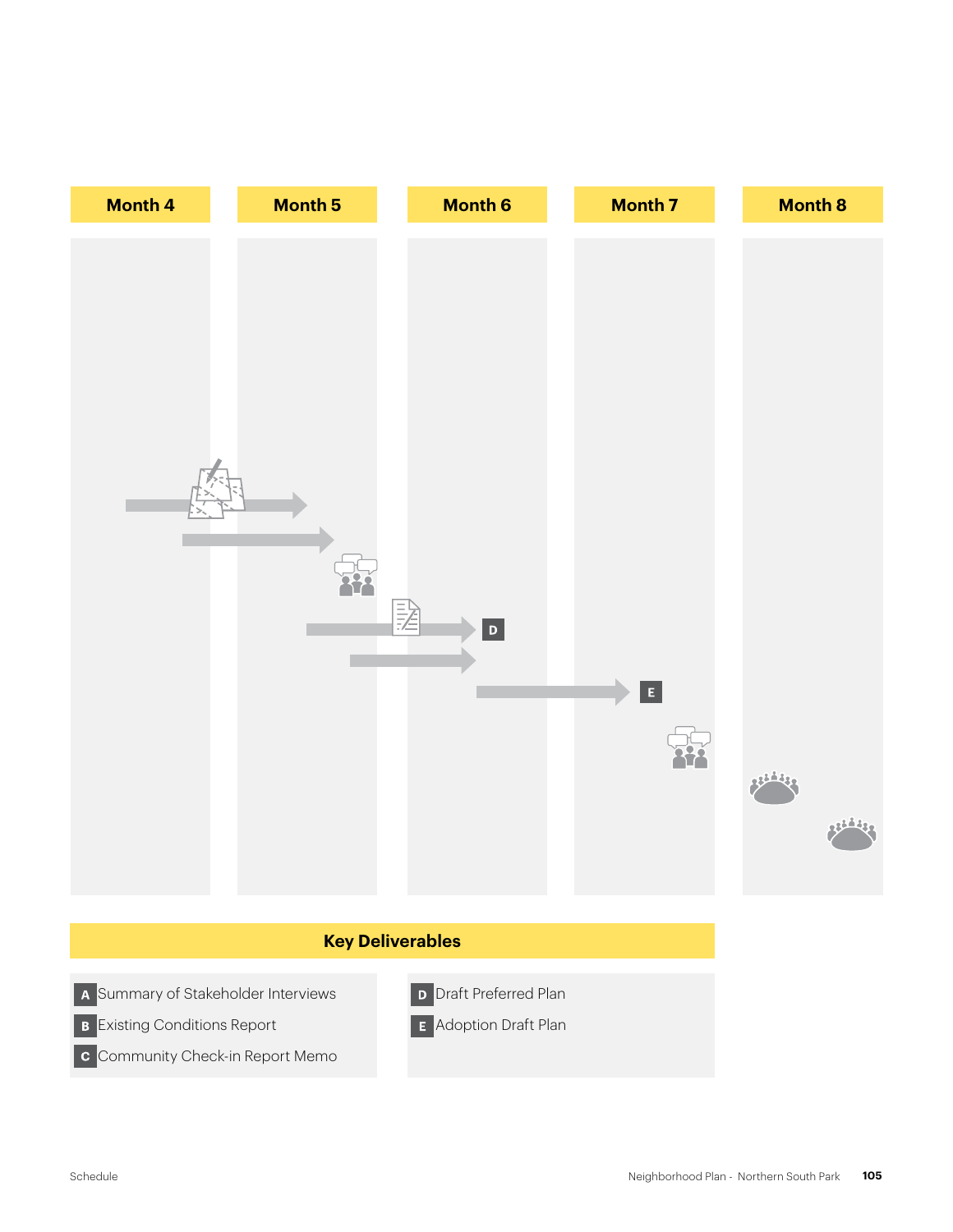